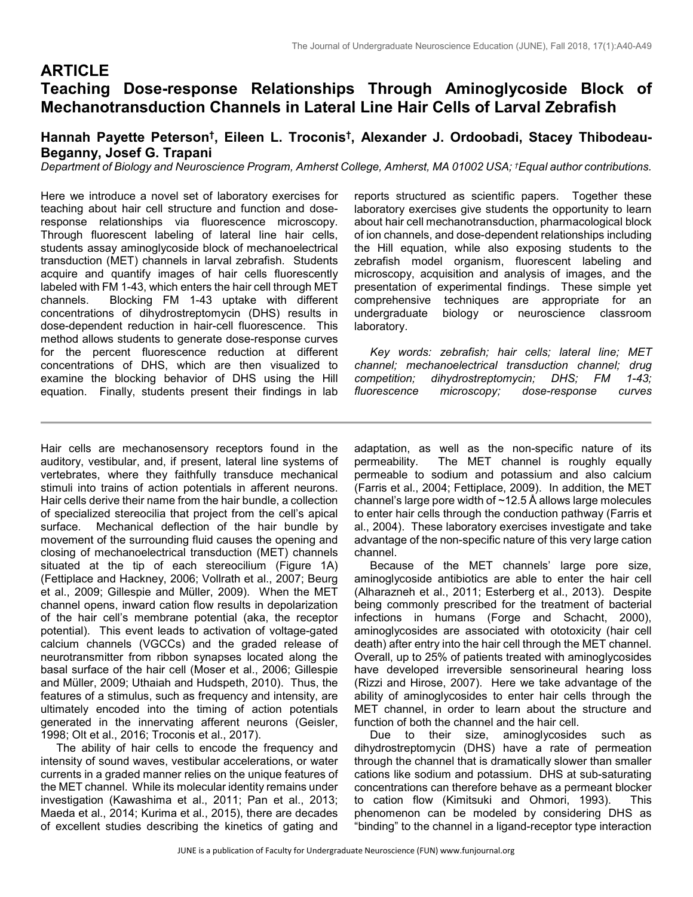# **ARTICLE Teaching Dose-response Relationships Through Aminoglycoside Block of Mechanotransduction Channels in Lateral Line Hair Cells of Larval Zebrafish**

# **Hannah Payette Peterson†, Eileen L. Troconis†, Alexander J. Ordoobadi, Stacey Thibodeau-Beganny, Josef G. Trapani**

*Department of Biology and Neuroscience Program, Amherst College, Amherst, MA 01002 USA; †Equal author contributions.*

Here we introduce a novel set of laboratory exercises for teaching about hair cell structure and function and doseresponse relationships via fluorescence microscopy. Through fluorescent labeling of lateral line hair cells, students assay aminoglycoside block of mechanoelectrical transduction (MET) channels in larval zebrafish. Students acquire and quantify images of hair cells fluorescently labeled with FM 1-43, which enters the hair cell through MET channels. Blocking FM 1-43 uptake with different concentrations of dihydrostreptomycin (DHS) results in dose-dependent reduction in hair-cell fluorescence. This method allows students to generate dose-response curves for the percent fluorescence reduction at different concentrations of DHS, which are then visualized to examine the blocking behavior of DHS using the Hill equation. Finally, students present their findings in lab

reports structured as scientific papers. Together these laboratory exercises give students the opportunity to learn about hair cell mechanotransduction, pharmacological block of ion channels, and dose-dependent relationships including the Hill equation, while also exposing students to the zebrafish model organism, fluorescent labeling and microscopy, acquisition and analysis of images, and the presentation of experimental findings. These simple yet comprehensive techniques are appropriate for an undergraduate biology or neuroscience classroom laboratory.

 *Key words: zebrafish; hair cells; lateral line; MET channel; mechanoelectrical transduction channel; drug competition; dihydrostreptomycin; DHS; FM 1-43; fluorescence microscopy; dose-response curves*

Hair cells are mechanosensory receptors found in the auditory, vestibular, and, if present, lateral line systems of vertebrates, where they faithfully transduce mechanical stimuli into trains of action potentials in afferent neurons. Hair cells derive their name from the hair bundle, a collection of specialized stereocilia that project from the cell's apical surface. Mechanical deflection of the hair bundle by movement of the surrounding fluid causes the opening and closing of mechanoelectrical transduction (MET) channels situated at the tip of each stereocilium (Figure 1A) (Fettiplace and Hackney, 2006; Vollrath et al., 2007; Beurg et al., 2009; Gillespie and Müller, 2009). When the MET channel opens, inward cation flow results in depolarization of the hair cell's membrane potential (aka, the receptor potential). This event leads to activation of voltage-gated calcium channels (VGCCs) and the graded release of neurotransmitter from ribbon synapses located along the basal surface of the hair cell (Moser et al., 2006; Gillespie and Müller, 2009; Uthaiah and Hudspeth, 2010). Thus, the features of a stimulus, such as frequency and intensity, are ultimately encoded into the timing of action potentials generated in the innervating afferent neurons (Geisler, 1998; Olt et al., 2016; Troconis et al., 2017).

 The ability of hair cells to encode the frequency and intensity of sound waves, vestibular accelerations, or water currents in a graded manner relies on the unique features of the MET channel. While its molecular identity remains under investigation (Kawashima et al., 2011; Pan et al., 2013; Maeda et al., 2014; Kurima et al., 2015), there are decades of excellent studies describing the kinetics of gating and

adaptation, as well as the non-specific nature of its permeability. The MET channel is roughly equally permeable to sodium and potassium and also calcium (Farris et al., 2004; Fettiplace, 2009). In addition, the MET channel's large pore width of ~12.5 Å allows large molecules to enter hair cells through the conduction pathway (Farris et al., 2004). These laboratory exercises investigate and take advantage of the non-specific nature of this very large cation channel.

 Because of the MET channels' large pore size, aminoglycoside antibiotics are able to enter the hair cell (Alharazneh et al., 2011; Esterberg et al., 2013). Despite being commonly prescribed for the treatment of bacterial infections in humans (Forge and Schacht, 2000), aminoglycosides are associated with ototoxicity (hair cell death) after entry into the hair cell through the MET channel. Overall, up to 25% of patients treated with aminoglycosides have developed irreversible sensorineural hearing loss (Rizzi and Hirose, 2007). Here we take advantage of the ability of aminoglycosides to enter hair cells through the MET channel, in order to learn about the structure and function of both the channel and the hair cell.

 Due to their size, aminoglycosides such as dihydrostreptomycin (DHS) have a rate of permeation through the channel that is dramatically slower than smaller cations like sodium and potassium. DHS at sub-saturating concentrations can therefore behave as a permeant blocker to cation flow (Kimitsuki and Ohmori, 1993). This phenomenon can be modeled by considering DHS as "binding" to the channel in a ligand-receptor type interaction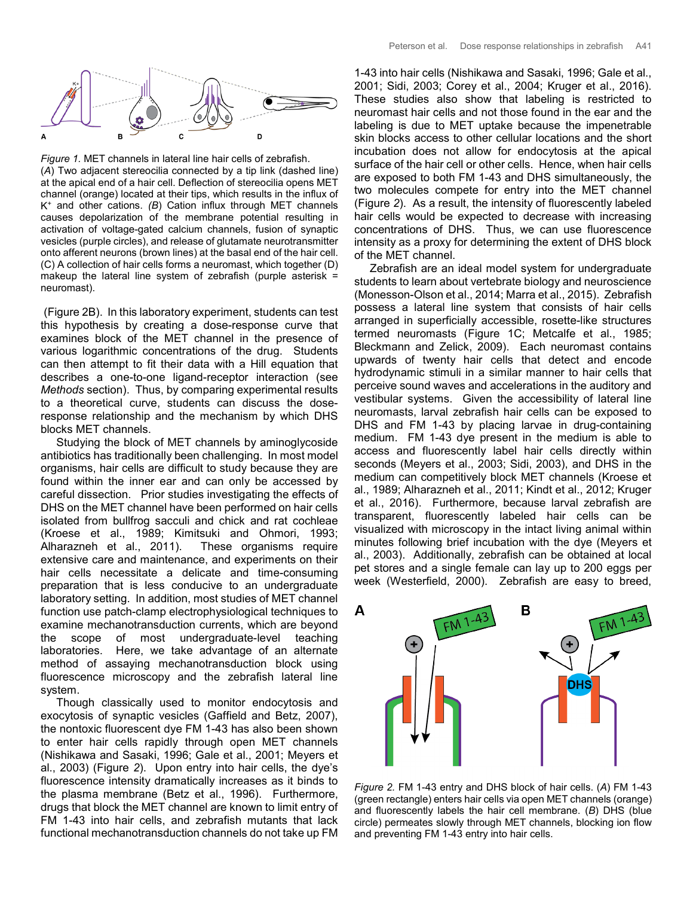

*Figure 1.* MET channels in lateral line hair cells of zebrafish. (*A*) Two adjacent stereocilia connected by a tip link (dashed line) at the apical end of a hair cell. Deflection of stereocilia opens MET channel (orange) located at their tips, which results in the influx of K+ and other cations. *(B*) Cation influx through MET channels causes depolarization of the membrane potential resulting in activation of voltage-gated calcium channels, fusion of synaptic vesicles (purple circles), and release of glutamate neurotransmitter onto afferent neurons (brown lines) at the basal end of the hair cell. (C) A collection of hair cells forms a neuromast, which together (D) makeup the lateral line system of zebrafish (purple asterisk = neuromast).

(Figure 2B). In this laboratory experiment, students can test this hypothesis by creating a dose-response curve that examines block of the MET channel in the presence of various logarithmic concentrations of the drug. Students can then attempt to fit their data with a Hill equation that describes a one-to-one ligand-receptor interaction (see *Methods* section). Thus, by comparing experimental results to a theoretical curve, students can discuss the doseresponse relationship and the mechanism by which DHS blocks MET channels.

 Studying the block of MET channels by aminoglycoside antibiotics has traditionally been challenging. In most model organisms, hair cells are difficult to study because they are found within the inner ear and can only be accessed by careful dissection. Prior studies investigating the effects of DHS on the MET channel have been performed on hair cells isolated from bullfrog sacculi and chick and rat cochleae (Kroese et al., 1989; Kimitsuki and Ohmori, 1993; Alharazneh et al., 2011). These organisms require extensive care and maintenance, and experiments on their hair cells necessitate a delicate and time-consuming preparation that is less conducive to an undergraduate laboratory setting. In addition, most studies of MET channel function use patch-clamp electrophysiological techniques to examine mechanotransduction currents, which are beyond the scope of most undergraduate-level teaching laboratories. Here, we take advantage of an alternate method of assaying mechanotransduction block using fluorescence microscopy and the zebrafish lateral line system.

 Though classically used to monitor endocytosis and exocytosis of synaptic vesicles (Gaffield and Betz, 2007), the nontoxic fluorescent dye FM 1-43 has also been shown to enter hair cells rapidly through open MET channels (Nishikawa and Sasaki, 1996; Gale et al., 2001; Meyers et al., 2003) (Figure *2*). Upon entry into hair cells, the dye's fluorescence intensity dramatically increases as it binds to the plasma membrane (Betz et al., 1996). Furthermore, drugs that block the MET channel are known to limit entry of FM 1-43 into hair cells, and zebrafish mutants that lack functional mechanotransduction channels do not take up FM

1-43 into hair cells (Nishikawa and Sasaki, 1996; Gale et al., 2001; Sidi, 2003; Corey et al., 2004; Kruger et al., 2016). These studies also show that labeling is restricted to neuromast hair cells and not those found in the ear and the labeling is due to MET uptake because the impenetrable skin blocks access to other cellular locations and the short incubation does not allow for endocytosis at the apical surface of the hair cell or other cells. Hence, when hair cells are exposed to both FM 1-43 and DHS simultaneously, the two molecules compete for entry into the MET channel (Figure *2*). As a result, the intensity of fluorescently labeled hair cells would be expected to decrease with increasing concentrations of DHS. Thus, we can use fluorescence intensity as a proxy for determining the extent of DHS block of the MET channel.

 Zebrafish are an ideal model system for undergraduate students to learn about vertebrate biology and neuroscience (Monesson-Olson et al., 2014; Marra et al., 2015). Zebrafish possess a lateral line system that consists of hair cells arranged in superficially accessible, rosette-like structures termed neuromasts (Figure 1C; Metcalfe et al., 1985; Bleckmann and Zelick, 2009). Each neuromast contains upwards of twenty hair cells that detect and encode hydrodynamic stimuli in a similar manner to hair cells that perceive sound waves and accelerations in the auditory and vestibular systems. Given the accessibility of lateral line neuromasts, larval zebrafish hair cells can be exposed to DHS and FM 1-43 by placing larvae in drug-containing medium. FM 1-43 dye present in the medium is able to access and fluorescently label hair cells directly within seconds (Meyers et al., 2003; Sidi, 2003), and DHS in the medium can competitively block MET channels (Kroese et al., 1989; Alharazneh et al., 2011; Kindt et al., 2012; Kruger et al., 2016). Furthermore, because larval zebrafish are transparent, fluorescently labeled hair cells can be visualized with microscopy in the intact living animal within minutes following brief incubation with the dye (Meyers et al., 2003). Additionally, zebrafish can be obtained at local pet stores and a single female can lay up to 200 eggs per week (Westerfield, 2000). Zebrafish are easy to breed,



*Figure 2.* FM 1-43 entry and DHS block of hair cells. (*A*) FM 1-43 (green rectangle) enters hair cells via open MET channels (orange) and fluorescently labels the hair cell membrane. (*B*) DHS (blue circle) permeates slowly through MET channels, blocking ion flow and preventing FM 1-43 entry into hair cells.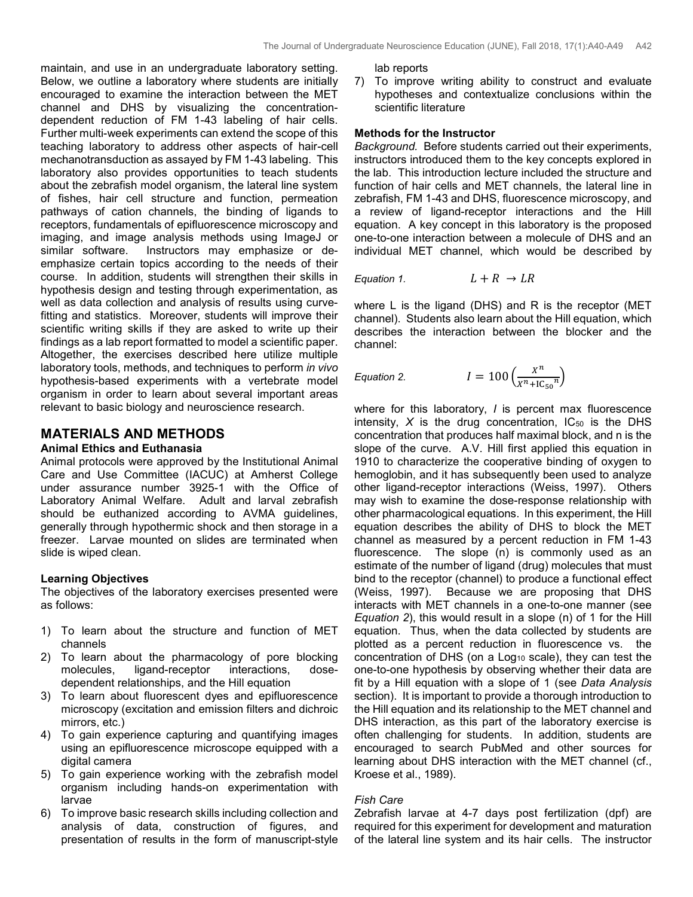maintain, and use in an undergraduate laboratory setting. Below, we outline a laboratory where students are initially encouraged to examine the interaction between the MET channel and DHS by visualizing the concentrationdependent reduction of FM 1-43 labeling of hair cells. Further multi-week experiments can extend the scope of this teaching laboratory to address other aspects of hair-cell mechanotransduction as assayed by FM 1-43 labeling. This laboratory also provides opportunities to teach students about the zebrafish model organism, the lateral line system of fishes, hair cell structure and function, permeation pathways of cation channels, the binding of ligands to receptors, fundamentals of epifluorescence microscopy and imaging, and image analysis methods using ImageJ or similar software. Instructors may emphasize or deemphasize certain topics according to the needs of their course. In addition, students will strengthen their skills in hypothesis design and testing through experimentation, as well as data collection and analysis of results using curvefitting and statistics. Moreover, students will improve their scientific writing skills if they are asked to write up their findings as a lab report formatted to model a scientific paper. Altogether, the exercises described here utilize multiple laboratory tools, methods, and techniques to perform *in vivo* hypothesis-based experiments with a vertebrate model organism in order to learn about several important areas relevant to basic biology and neuroscience research.

# **MATERIALS AND METHODS**

### **Animal Ethics and Euthanasia**

Animal protocols were approved by the Institutional Animal Care and Use Committee (IACUC) at Amherst College under assurance number 3925-1 with the Office of Laboratory Animal Welfare. Adult and larval zebrafish should be euthanized according to AVMA guidelines, generally through hypothermic shock and then storage in a freezer. Larvae mounted on slides are terminated when slide is wiped clean.

### **Learning Objectives**

The objectives of the laboratory exercises presented were as follows:

- 1) To learn about the structure and function of MET channels
- 2) To learn about the pharmacology of pore blocking molecules, ligand-receptor interactions, dosedependent relationships, and the Hill equation
- 3) To learn about fluorescent dyes and epifluorescence microscopy (excitation and emission filters and dichroic mirrors, etc.)
- 4) To gain experience capturing and quantifying images using an epifluorescence microscope equipped with a digital camera
- 5) To gain experience working with the zebrafish model organism including hands-on experimentation with larvae
- 6) To improve basic research skills including collection and analysis of data, construction of figures, and presentation of results in the form of manuscript-style

lab reports

7) To improve writing ability to construct and evaluate hypotheses and contextualize conclusions within the scientific literature

### **Methods for the Instructor**

*Background.* Before students carried out their experiments, instructors introduced them to the key concepts explored in the lab. This introduction lecture included the structure and function of hair cells and MET channels, the lateral line in zebrafish, FM 1-43 and DHS, fluorescence microscopy, and a review of ligand-receptor interactions and the Hill equation. A key concept in this laboratory is the proposed one-to-one interaction between a molecule of DHS and an individual MET channel, which would be described by

*Equation 1.*  $L + R \rightarrow LR$ 

where L is the ligand (DHS) and R is the receptor (MET channel). Students also learn about the Hill equation, which describes the interaction between the blocker and the channel:

*Equation 2.* **1** 

$$
r = 100 \left( \frac{X^n}{X^n + 1C_{50}^n} \right)
$$

where for this laboratory, *I* is percent max fluorescence intensity,  $X$  is the drug concentration,  $IC_{50}$  is the DHS concentration that produces half maximal block, and n is the slope of the curve. A.V. Hill first applied this equation in 1910 to characterize the cooperative binding of oxygen to hemoglobin, and it has subsequently been used to analyze other ligand-receptor interactions (Weiss, 1997). Others may wish to examine the dose-response relationship with other pharmacological equations. In this experiment, the Hill equation describes the ability of DHS to block the MET channel as measured by a percent reduction in FM 1-43 fluorescence. The slope (n) is commonly used as an estimate of the number of ligand (drug) molecules that must bind to the receptor (channel) to produce a functional effect (Weiss, 1997). Because we are proposing that DHS interacts with MET channels in a one-to-one manner (see *Equation 2*), this would result in a slope (n) of 1 for the Hill equation. Thus, when the data collected by students are plotted as a percent reduction in fluorescence vs. the concentration of DHS (on a Log<sub>10</sub> scale), they can test the one-to-one hypothesis by observing whether their data are fit by a Hill equation with a slope of 1 (see *Data Analysis* section). It is important to provide a thorough introduction to the Hill equation and its relationship to the MET channel and DHS interaction, as this part of the laboratory exercise is often challenging for students. In addition, students are encouraged to search PubMed and other sources for learning about DHS interaction with the MET channel (cf., Kroese et al., 1989).

### *Fish Care*

Zebrafish larvae at 4-7 days post fertilization (dpf) are required for this experiment for development and maturation of the lateral line system and its hair cells. The instructor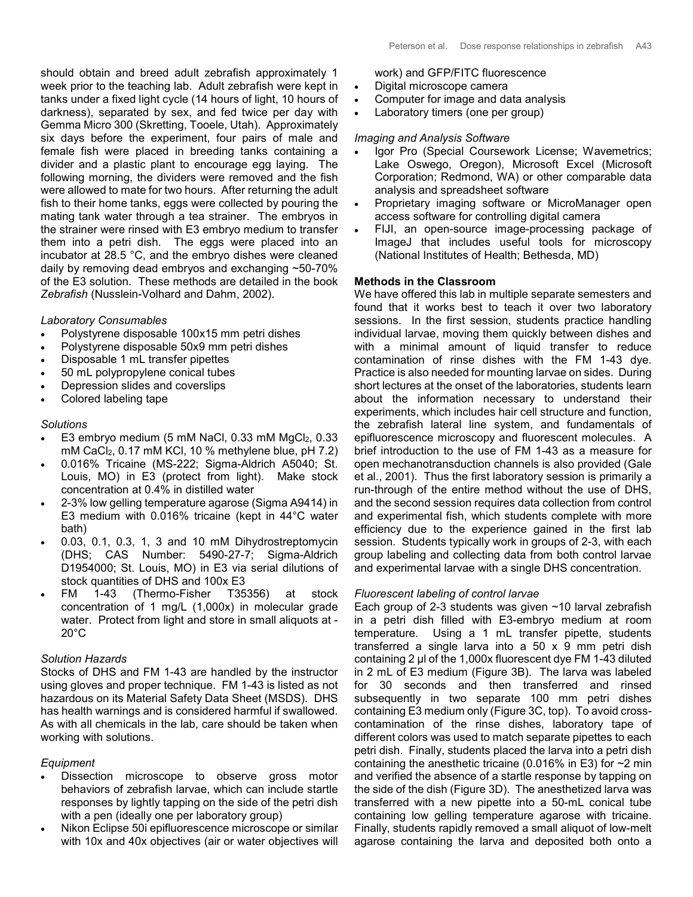should obtain and breed adult zebrafish approximately 1 week prior to the teaching lab. Adult zebrafish were kept in tanks under a fixed light cycle (14 hours of light, 10 hours of darkness), separated by sex, and fed twice per day with Gemma Micro 300 (Skretting, Tooele, Utah). Approximately six days before the experiment, four pairs of male and female fish were placed in breeding tanks containing a divider and a plastic plant to encourage egg laying. The following morning, the dividers were removed and the fish were allowed to mate for two hours. After returning the adult fish to their home tanks, eggs were collected by pouring the mating tank water through a tea strainer. The embryos in the strainer were rinsed with E3 embryo medium to transfer them into a petri dish. The eggs were placed into an incubator at 28.5 °C, and the embryo dishes were cleaned daily by removing dead embryos and exchanging ~50-70% of the E3 solution. These methods are detailed in the book *Zebrafish* (Nusslein-Volhard and Dahm, 2002).

### *Laboratory Consumables*

- Polystyrene disposable 100x15 mm petri dishes
- Polystyrene disposable 50x9 mm petri dishes
- Disposable 1 mL transfer pipettes
- 50 mL polypropylene conical tubes
- Depression slides and coverslips
- Colored labeling tape

### *Solutions*

- E3 embryo medium (5 mM NaCl, 0.33 mM MgCl<sub>2</sub>, 0.33 mM CaCl<sub>2</sub>,  $0.17$  mM KCl, 10 % methylene blue, pH 7.2)
- 0.016% Tricaine (MS-222; Sigma-Aldrich A5040; St. Louis, MO) in E3 (protect from light). Make stock concentration at 0.4% in distilled water
- 2-3% low gelling temperature agarose (Sigma A9414) in E3 medium with 0.016% tricaine (kept in 44°C water bath)
- 0.03, 0.1, 0.3, 1, 3 and 10 mM Dihydrostreptomycin (DHS; CAS Number: 5490-27-7; Sigma-Aldrich D1954000; St. Louis, MO) in E3 via serial dilutions of stock quantities of DHS and 100x E3
- FM 1-43 (Thermo-Fisher T35356) at stock concentration of 1 mg/L (1,000x) in molecular grade water. Protect from light and store in small aliquots at - 20°C

### *Solution Hazards*

Stocks of DHS and FM 1-43 are handled by the instructor using gloves and proper technique. FM 1-43 is listed as not hazardous on its Material Safety Data Sheet (MSDS). DHS has health warnings and is considered harmful if swallowed. As with all chemicals in the lab, care should be taken when working with solutions.

### *Equipment*

- Dissection microscope to observe gross motor behaviors of zebrafish larvae, which can include startle responses by lightly tapping on the side of the petri dish with a pen (ideally one per laboratory group)
- Nikon Eclipse 50i epifluorescence microscope or similar with 10x and 40x objectives (air or water objectives will
- work) and GFP/FITC fluorescence
- Digital microscope camera
- Computer for image and data analysis
- Laboratory timers (one per group)

### *Imaging and Analysis Software*

- Igor Pro (Special Coursework License; Wavemetrics; Lake Oswego, Oregon), Microsoft Excel (Microsoft Corporation; Redmond, WA) or other comparable data analysis and spreadsheet software
- Proprietary imaging software or MicroManager open access software for controlling digital camera
- FIJI, an open-source image-processing package of ImageJ that includes useful tools for microscopy (National Institutes of Health; Bethesda, MD)

### **Methods in the Classroom**

We have offered this lab in multiple separate semesters and found that it works best to teach it over two laboratory sessions. In the first session, students practice handling individual larvae, moving them quickly between dishes and with a minimal amount of liquid transfer to reduce contamination of rinse dishes with the FM 1-43 dye. Practice is also needed for mounting larvae on sides. During short lectures at the onset of the laboratories, students learn about the information necessary to understand their experiments, which includes hair cell structure and function, the zebrafish lateral line system, and fundamentals of epifluorescence microscopy and fluorescent molecules. A brief introduction to the use of FM 1-43 as a measure for open mechanotransduction channels is also provided (Gale et al., 2001). Thus the first laboratory session is primarily a run-through of the entire method without the use of DHS, and the second session requires data collection from control and experimental fish, which students complete with more efficiency due to the experience gained in the first lab session. Students typically work in groups of 2-3, with each group labeling and collecting data from both control larvae and experimental larvae with a single DHS concentration.

### *Fluorescent labeling of control larvae*

Each group of 2-3 students was given  $\sim$  10 larval zebrafish in a petri dish filled with E3-embryo medium at room temperature. Using a 1 mL transfer pipette, students transferred a single larva into a 50 x 9 mm petri dish containing 2 µl of the 1,000x fluorescent dye FM 1-43 diluted in 2 mL of E3 medium (Figure 3B). The larva was labeled for 30 seconds and then transferred and rinsed subsequently in two separate 100 mm petri dishes containing E3 medium only (Figure 3C, top). To avoid crosscontamination of the rinse dishes, laboratory tape of different colors was used to match separate pipettes to each petri dish. Finally, students placed the larva into a petri dish containing the anesthetic tricaine (0.016% in E3) for  $\sim$ 2 min and verified the absence of a startle response by tapping on the side of the dish (Figure 3D). The anesthetized larva was transferred with a new pipette into a 50-mL conical tube containing low gelling temperature agarose with tricaine. Finally, students rapidly removed a small aliquot of low-melt agarose containing the larva and deposited both onto a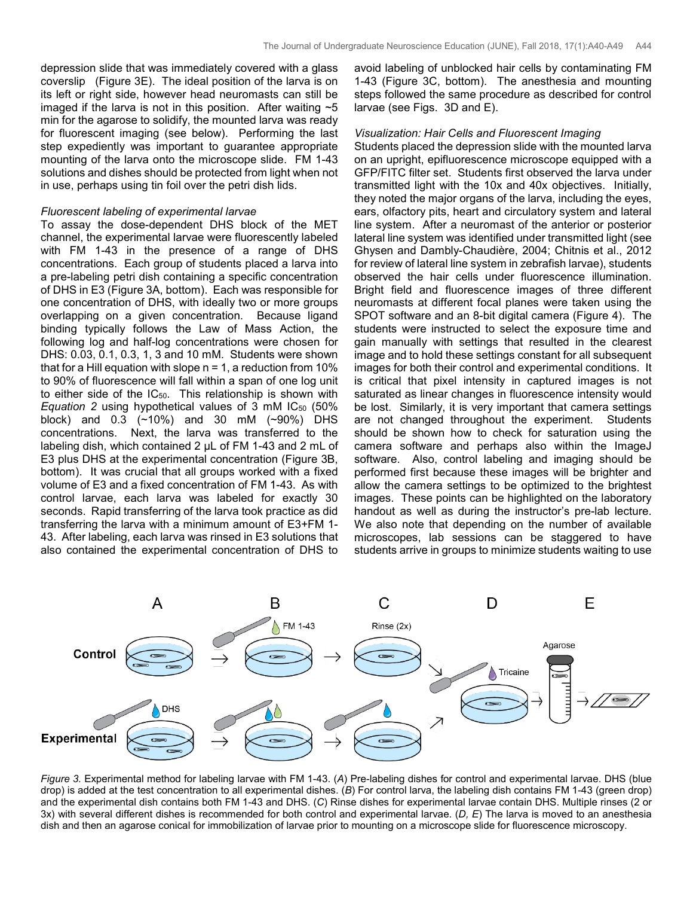depression slide that was immediately covered with a glass coverslip (Figure 3E). The ideal position of the larva is on its left or right side, however head neuromasts can still be imaged if the larva is not in this position. After waiting  $\sim$  5 min for the agarose to solidify, the mounted larva was ready for fluorescent imaging (see below). Performing the last step expediently was important to guarantee appropriate mounting of the larva onto the microscope slide. FM 1-43 solutions and dishes should be protected from light when not in use, perhaps using tin foil over the petri dish lids.

#### *Fluorescent labeling of experimental larvae*

To assay the dose-dependent DHS block of the MET channel, the experimental larvae were fluorescently labeled with FM 1-43 in the presence of a range of DHS concentrations. Each group of students placed a larva into a pre-labeling petri dish containing a specific concentration of DHS in E3 (Figure 3A, bottom). Each was responsible for one concentration of DHS, with ideally two or more groups overlapping on a given concentration. Because ligand binding typically follows the Law of Mass Action, the following log and half-log concentrations were chosen for DHS: 0.03, 0.1, 0.3, 1, 3 and 10 mM. Students were shown that for a Hill equation with slope  $n = 1$ , a reduction from 10% to 90% of fluorescence will fall within a span of one log unit to either side of the  $IC_{50}$ . This relationship is shown with *Equation* 2 using hypothetical values of 3 mM IC<sub>50</sub> (50%) block) and 0.3 (~10%) and 30 mM (~90%) DHS concentrations. Next, the larva was transferred to the labeling dish, which contained 2 µL of FM 1-43 and 2 mL of E3 plus DHS at the experimental concentration (Figure 3B, bottom). It was crucial that all groups worked with a fixed volume of E3 and a fixed concentration of FM 1-43. As with control larvae, each larva was labeled for exactly 30 seconds. Rapid transferring of the larva took practice as did transferring the larva with a minimum amount of E3+FM 1- 43. After labeling, each larva was rinsed in E3 solutions that also contained the experimental concentration of DHS to

avoid labeling of unblocked hair cells by contaminating FM 1-43 (Figure 3C, bottom). The anesthesia and mounting steps followed the same procedure as described for control larvae (see Figs. 3D and E).

#### *Visualization: Hair Cells and Fluorescent Imaging*

Students placed the depression slide with the mounted larva on an upright, epifluorescence microscope equipped with a GFP/FITC filter set. Students first observed the larva under transmitted light with the 10x and 40x objectives. Initially, they noted the major organs of the larva, including the eyes, ears, olfactory pits, heart and circulatory system and lateral line system. After a neuromast of the anterior or posterior lateral line system was identified under transmitted light (see Ghysen and Dambly-Chaudière, 2004; Chitnis et al., 2012 for review of lateral line system in zebrafish larvae), students observed the hair cells under fluorescence illumination. Bright field and fluorescence images of three different neuromasts at different focal planes were taken using the SPOT software and an 8-bit digital camera (Figure 4). The students were instructed to select the exposure time and gain manually with settings that resulted in the clearest image and to hold these settings constant for all subsequent images for both their control and experimental conditions. It is critical that pixel intensity in captured images is not saturated as linear changes in fluorescence intensity would be lost. Similarly, it is very important that camera settings are not changed throughout the experiment. Students should be shown how to check for saturation using the camera software and perhaps also within the ImageJ software. Also, control labeling and imaging should be performed first because these images will be brighter and allow the camera settings to be optimized to the brightest images. These points can be highlighted on the laboratory handout as well as during the instructor's pre-lab lecture. We also note that depending on the number of available microscopes, lab sessions can be staggered to have students arrive in groups to minimize students waiting to use



*Figure 3.* Experimental method for labeling larvae with FM 1-43. (*A*) Pre-labeling dishes for control and experimental larvae. DHS (blue drop) is added at the test concentration to all experimental dishes. (*B*) For control larva, the labeling dish contains FM 1-43 (green drop) and the experimental dish contains both FM 1-43 and DHS. (*C*) Rinse dishes for experimental larvae contain DHS. Multiple rinses (2 or 3x) with several different dishes is recommended for both control and experimental larvae. (D, E) The larva is moved to an anesthesia dish and then an agarose conical for immobilization of larvae prior to mounting on a microscope slide for fluorescence microscopy.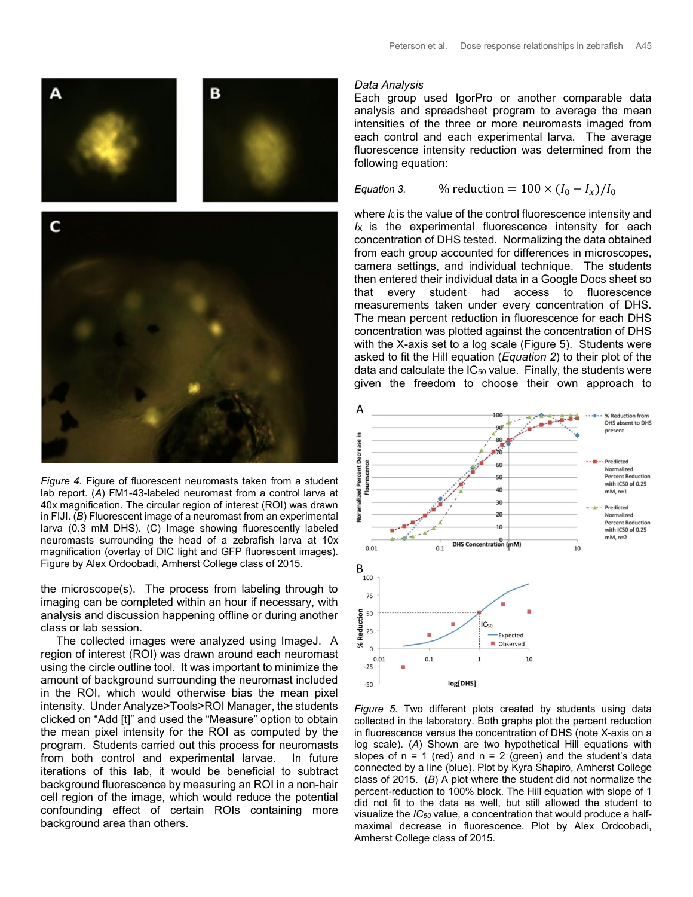

*Figure 4.* Figure of fluorescent neuromasts taken from a student lab report. (*A*) FM1-43-labeled neuromast from a control larva at 40x magnification. The circular region of interest (ROI) was drawn in FIJI. (*B*) Fluorescent image of a neuromast from an experimental larva (0.3 mM DHS). (C) Image showing fluorescently labeled neuromasts surrounding the head of a zebrafish larva at 10x magnification (overlay of DIC light and GFP fluorescent images). Figure by Alex Ordoobadi, Amherst College class of 2015.

the microscope(s). The process from labeling through to imaging can be completed within an hour if necessary, with analysis and discussion happening offline or during another class or lab session.

 The collected images were analyzed using ImageJ. A region of interest (ROI) was drawn around each neuromast using the circle outline tool. It was important to minimize the amount of background surrounding the neuromast included in the ROI, which would otherwise bias the mean pixel intensity. Under Analyze>Tools>ROI Manager, the students clicked on "Add [t]" and used the "Measure" option to obtain the mean pixel intensity for the ROI as computed by the program. Students carried out this process for neuromasts from both control and experimental larvae. In future iterations of this lab, it would be beneficial to subtract background fluorescence by measuring an ROI in a non-hair cell region of the image, which would reduce the potential confounding effect of certain ROIs containing more background area than others.

#### *Data Analysis*

Each group used IgorPro or another comparable data analysis and spreadsheet program to average the mean intensities of the three or more neuromasts imaged from each control and each experimental larva. The average fluorescence intensity reduction was determined from the following equation:

*Equation 3.* % reduction =  $100 \times (I_0 - I_x)/I_0$ 

where  $I_0$  is the value of the control fluorescence intensity and  $I_X$  is the experimental fluorescence intensity for each concentration of DHS tested. Normalizing the data obtained from each group accounted for differences in microscopes, camera settings, and individual technique. The students then entered their individual data in a Google Docs sheet so that every student had access to fluorescence measurements taken under every concentration of DHS. The mean percent reduction in fluorescence for each DHS concentration was plotted against the concentration of DHS with the X-axis set to a log scale (Figure 5). Students were asked to fit the Hill equation (*Equation 2*) to their plot of the data and calculate the  $IC_{50}$  value. Finally, the students were given the freedom to choose their own approach to



*Figure 5.* Two different plots created by students using data collected in the laboratory. Both graphs plot the percent reduction in fluorescence versus the concentration of DHS (note X-axis on a log scale). (*A*) Shown are two hypothetical Hill equations with slopes of  $n = 1$  (red) and  $n = 2$  (green) and the student's data connected by a line (blue). Plot by Kyra Shapiro, Amherst College class of 2015. (*B*) A plot where the student did not normalize the percent-reduction to 100% block. The Hill equation with slope of 1 did not fit to the data as well, but still allowed the student to visualize the *IC50* value, a concentration that would produce a halfmaximal decrease in fluorescence. Plot by Alex Ordoobadi, Amherst College class of 2015.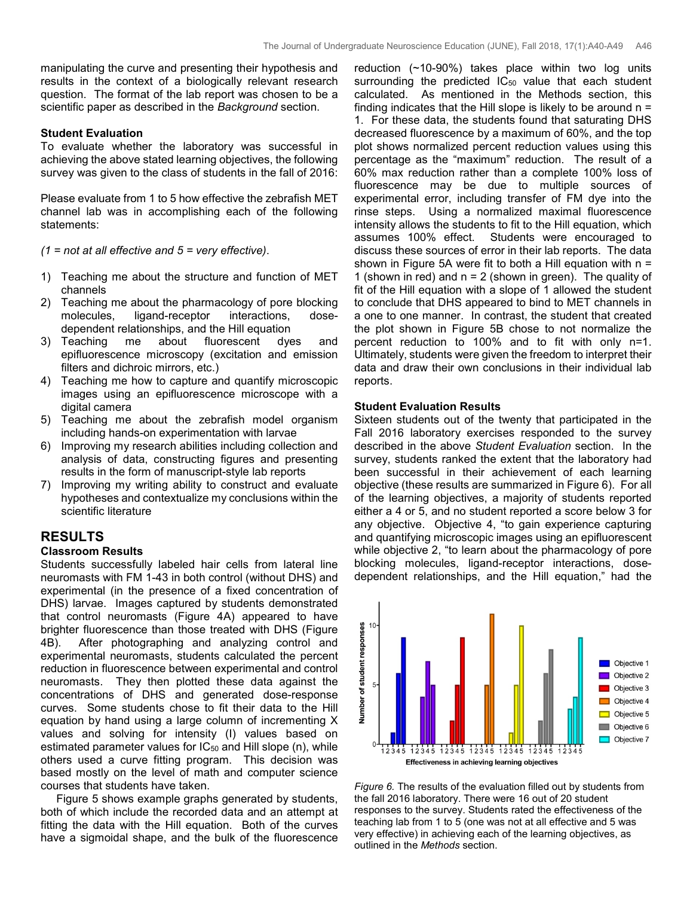manipulating the curve and presenting their hypothesis and results in the context of a biologically relevant research question. The format of the lab report was chosen to be a scientific paper as described in the *Background* section.

### **Student Evaluation**

To evaluate whether the laboratory was successful in achieving the above stated learning objectives, the following survey was given to the class of students in the fall of 2016:

Please evaluate from 1 to 5 how effective the zebrafish MET channel lab was in accomplishing each of the following statements:

*(1 = not at all effective and 5 = very effective)*.

- 1) Teaching me about the structure and function of MET channels
- 2) Teaching me about the pharmacology of pore blocking<br>molecules, ligand-receptor interactions, doseligand-receptor interactions, dosedependent relationships, and the Hill equation<br>Teaching me about fluorescent dves
- 3) Teaching me about fluorescent dyes and epifluorescence microscopy (excitation and emission filters and dichroic mirrors, etc.)
- 4) Teaching me how to capture and quantify microscopic images using an epifluorescence microscope with a digital camera
- 5) Teaching me about the zebrafish model organism including hands-on experimentation with larvae
- 6) Improving my research abilities including collection and analysis of data, constructing figures and presenting results in the form of manuscript-style lab reports
- 7) Improving my writing ability to construct and evaluate hypotheses and contextualize my conclusions within the scientific literature

## **RESULTS**

### **Classroom Results**

Students successfully labeled hair cells from lateral line neuromasts with FM 1-43 in both control (without DHS) and experimental (in the presence of a fixed concentration of DHS) larvae. Images captured by students demonstrated that control neuromasts (Figure 4A) appeared to have brighter fluorescence than those treated with DHS (Figure 4B). After photographing and analyzing control and experimental neuromasts, students calculated the percent reduction in fluorescence between experimental and control neuromasts. They then plotted these data against the concentrations of DHS and generated dose-response curves. Some students chose to fit their data to the Hill equation by hand using a large column of incrementing X values and solving for intensity (I) values based on estimated parameter values for  $IC_{50}$  and Hill slope (n), while others used a curve fitting program. This decision was based mostly on the level of math and computer science courses that students have taken.

 Figure 5 shows example graphs generated by students, both of which include the recorded data and an attempt at fitting the data with the Hill equation. Both of the curves have a sigmoidal shape, and the bulk of the fluorescence

reduction (~10-90%) takes place within two log units surrounding the predicted IC<sub>50</sub> value that each student calculated. As mentioned in the Methods section, this finding indicates that the Hill slope is likely to be around  $n =$ 1. For these data, the students found that saturating DHS decreased fluorescence by a maximum of 60%, and the top plot shows normalized percent reduction values using this percentage as the "maximum" reduction. The result of a 60% max reduction rather than a complete 100% loss of fluorescence may be due to multiple sources of experimental error, including transfer of FM dye into the rinse steps. Using a normalized maximal fluorescence intensity allows the students to fit to the Hill equation, which assumes 100% effect. Students were encouraged to discuss these sources of error in their lab reports. The data shown in Figure 5A were fit to both a Hill equation with  $n =$ 1 (shown in red) and  $n = 2$  (shown in green). The quality of fit of the Hill equation with a slope of 1 allowed the student to conclude that DHS appeared to bind to MET channels in a one to one manner. In contrast, the student that created the plot shown in Figure 5B chose to not normalize the percent reduction to 100% and to fit with only n=1. Ultimately, students were given the freedom to interpret their data and draw their own conclusions in their individual lab reports.

### **Student Evaluation Results**

Sixteen students out of the twenty that participated in the Fall 2016 laboratory exercises responded to the survey described in the above *Student Evaluation* section. In the survey, students ranked the extent that the laboratory had been successful in their achievement of each learning objective (these results are summarized in Figure 6). For all of the learning objectives, a majority of students reported either a 4 or 5, and no student reported a score below 3 for any objective. Objective 4, "to gain experience capturing and quantifying microscopic images using an epifluorescent while objective 2, "to learn about the pharmacology of pore blocking molecules, ligand-receptor interactions, dosedependent relationships, and the Hill equation," had the



*Figure 6.* The results of the evaluation filled out by students from the fall 2016 laboratory. There were 16 out of 20 student responses to the survey. Students rated the effectiveness of the teaching lab from 1 to 5 (one was not at all effective and 5 was very effective) in achieving each of the learning objectives, as outlined in the *Methods* section.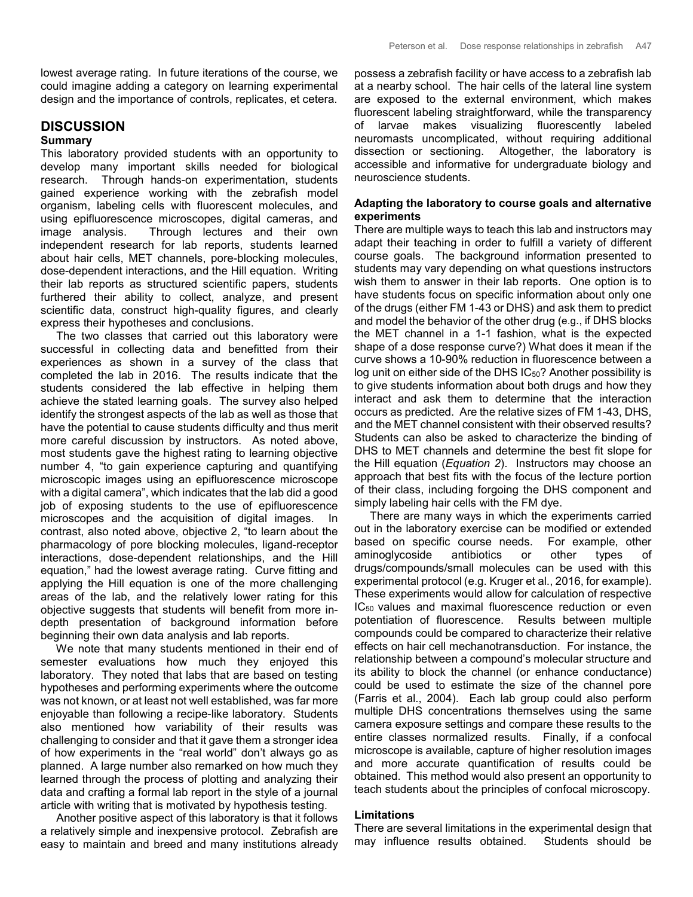lowest average rating. In future iterations of the course, we could imagine adding a category on learning experimental design and the importance of controls, replicates, et cetera.

### **DISCUSSION**

#### **Summary**

This laboratory provided students with an opportunity to develop many important skills needed for biological research. Through hands-on experimentation, students gained experience working with the zebrafish model organism, labeling cells with fluorescent molecules, and using epifluorescence microscopes, digital cameras, and image analysis. Through lectures and their own independent research for lab reports, students learned about hair cells, MET channels, pore-blocking molecules, dose-dependent interactions, and the Hill equation. Writing their lab reports as structured scientific papers, students furthered their ability to collect, analyze, and present scientific data, construct high-quality figures, and clearly express their hypotheses and conclusions.

 The two classes that carried out this laboratory were successful in collecting data and benefitted from their experiences as shown in a survey of the class that completed the lab in 2016. The results indicate that the students considered the lab effective in helping them achieve the stated learning goals. The survey also helped identify the strongest aspects of the lab as well as those that have the potential to cause students difficulty and thus merit more careful discussion by instructors. As noted above, most students gave the highest rating to learning objective number 4, "to gain experience capturing and quantifying microscopic images using an epifluorescence microscope with a digital camera", which indicates that the lab did a good job of exposing students to the use of epifluorescence microscopes and the acquisition of digital images. In contrast, also noted above, objective 2, "to learn about the pharmacology of pore blocking molecules, ligand-receptor interactions, dose-dependent relationships, and the Hill equation," had the lowest average rating. Curve fitting and applying the Hill equation is one of the more challenging areas of the lab, and the relatively lower rating for this objective suggests that students will benefit from more indepth presentation of background information before beginning their own data analysis and lab reports.

 We note that many students mentioned in their end of semester evaluations how much they enjoyed this laboratory. They noted that labs that are based on testing hypotheses and performing experiments where the outcome was not known, or at least not well established, was far more enjoyable than following a recipe-like laboratory. Students also mentioned how variability of their results was challenging to consider and that it gave them a stronger idea of how experiments in the "real world" don't always go as planned. A large number also remarked on how much they learned through the process of plotting and analyzing their data and crafting a formal lab report in the style of a journal article with writing that is motivated by hypothesis testing.

 Another positive aspect of this laboratory is that it follows a relatively simple and inexpensive protocol. Zebrafish are easy to maintain and breed and many institutions already possess a zebrafish facility or have access to a zebrafish lab at a nearby school. The hair cells of the lateral line system are exposed to the external environment, which makes fluorescent labeling straightforward, while the transparency of larvae makes visualizing fluorescently labeled neuromasts uncomplicated, without requiring additional dissection or sectioning. Altogether, the laboratory is accessible and informative for undergraduate biology and neuroscience students.

### **Adapting the laboratory to course goals and alternative experiments**

There are multiple ways to teach this lab and instructors may adapt their teaching in order to fulfill a variety of different course goals. The background information presented to students may vary depending on what questions instructors wish them to answer in their lab reports. One option is to have students focus on specific information about only one of the drugs (either FM 1-43 or DHS) and ask them to predict and model the behavior of the other drug (e.g., if DHS blocks the MET channel in a 1-1 fashion, what is the expected shape of a dose response curve?) What does it mean if the curve shows a 10-90% reduction in fluorescence between a log unit on either side of the DHS IC<sub>50</sub>? Another possibility is to give students information about both drugs and how they interact and ask them to determine that the interaction occurs as predicted. Are the relative sizes of FM 1-43, DHS, and the MET channel consistent with their observed results? Students can also be asked to characterize the binding of DHS to MET channels and determine the best fit slope for the Hill equation (*Equation 2*). Instructors may choose an approach that best fits with the focus of the lecture portion of their class, including forgoing the DHS component and simply labeling hair cells with the FM dye.

 There are many ways in which the experiments carried out in the laboratory exercise can be modified or extended based on specific course needs. For example, other aminoglycoside antibiotics or other types of drugs/compounds/small molecules can be used with this experimental protocol (e.g. Kruger et al., 2016, for example). These experiments would allow for calculation of respective IC50 values and maximal fluorescence reduction or even potentiation of fluorescence. Results between multiple compounds could be compared to characterize their relative effects on hair cell mechanotransduction. For instance, the relationship between a compound's molecular structure and its ability to block the channel (or enhance conductance) could be used to estimate the size of the channel pore (Farris et al., 2004). Each lab group could also perform multiple DHS concentrations themselves using the same camera exposure settings and compare these results to the entire classes normalized results. Finally, if a confocal microscope is available, capture of higher resolution images and more accurate quantification of results could be obtained. This method would also present an opportunity to teach students about the principles of confocal microscopy.

#### **Limitations**

There are several limitations in the experimental design that may influence results obtained. Students should be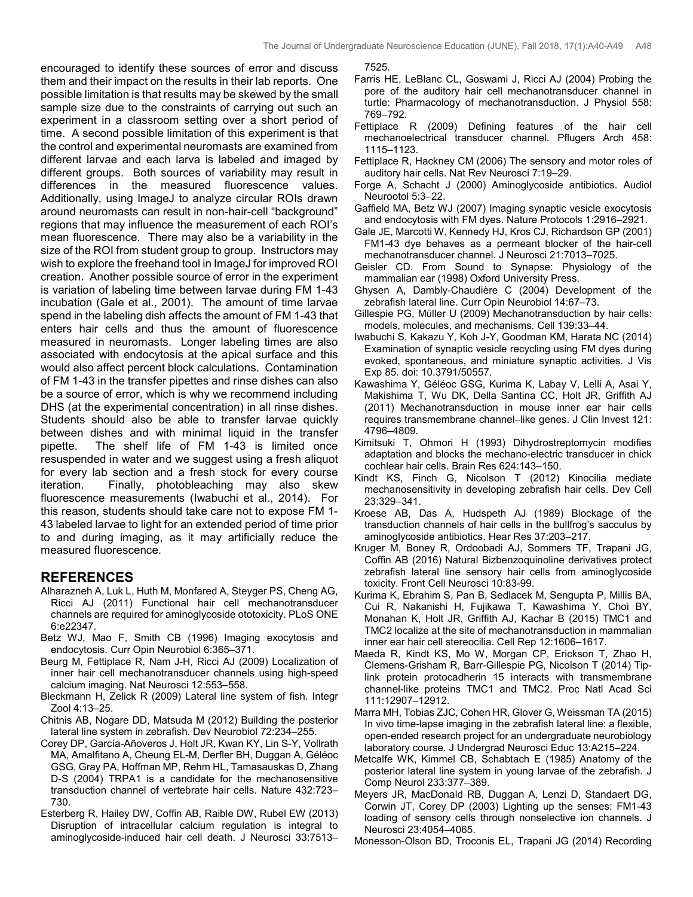encouraged to identify these sources of error and discuss them and their impact on the results in their lab reports. One possible limitation is that results may be skewed by the small sample size due to the constraints of carrying out such an experiment in a classroom setting over a short period of time. A second possible limitation of this experiment is that the control and experimental neuromasts are examined from different larvae and each larva is labeled and imaged by different groups. Both sources of variability may result in differences in the measured fluorescence values. Additionally, using ImageJ to analyze circular ROIs drawn around neuromasts can result in non-hair-cell "background" regions that may influence the measurement of each ROI's mean fluorescence. There may also be a variability in the size of the ROI from student group to group. Instructors may wish to explore the freehand tool in ImageJ for improved ROI creation. Another possible source of error in the experiment is variation of labeling time between larvae during FM 1-43 incubation (Gale et al., 2001). The amount of time larvae spend in the labeling dish affects the amount of FM 1-43 that enters hair cells and thus the amount of fluorescence measured in neuromasts. Longer labeling times are also associated with endocytosis at the apical surface and this would also affect percent block calculations. Contamination of FM 1-43 in the transfer pipettes and rinse dishes can also be a source of error, which is why we recommend including DHS (at the experimental concentration) in all rinse dishes. Students should also be able to transfer larvae quickly between dishes and with minimal liquid in the transfer pipette. The shelf life of FM 1-43 is limited once resuspended in water and we suggest using a fresh aliquot for every lab section and a fresh stock for every course iteration. Finally, photobleaching may also skew fluorescence measurements (Iwabuchi et al., 2014). For this reason, students should take care not to expose FM 1- 43 labeled larvae to light for an extended period of time prior to and during imaging, as it may artificially reduce the measured fluorescence.

### **REFERENCES**

- Alharazneh A, Luk L, Huth M, Monfared A, Steyger PS, Cheng AG, Ricci AJ (2011) Functional hair cell mechanotransducer channels are required for aminoglycoside ototoxicity. PLoS ONE 6:e22347.
- Betz WJ, Mao F, Smith CB (1996) Imaging exocytosis and endocytosis. Curr Opin Neurobiol 6:365–371.
- Beurg M, Fettiplace R, Nam J-H, Ricci AJ (2009) Localization of inner hair cell mechanotransducer channels using high-speed calcium imaging. Nat Neurosci 12:553–558.
- Bleckmann H, Zelick R (2009) Lateral line system of fish. Integr Zool 4:13–25.
- Chitnis AB, Nogare DD, Matsuda M (2012) Building the posterior lateral line system in zebrafish. Dev Neurobiol 72:234–255.
- Corey DP, García-Añoveros J, Holt JR, Kwan KY, Lin S-Y, Vollrath MA, Amalfitano A, Cheung EL-M, Derfler BH, Duggan A, Géléoc GSG, Gray PA, Hoffman MP, Rehm HL, Tamasauskas D, Zhang D-S (2004) TRPA1 is a candidate for the mechanosensitive transduction channel of vertebrate hair cells. Nature 432:723– 730.
- Esterberg R, Hailey DW, Coffin AB, Raible DW, Rubel EW (2013) Disruption of intracellular calcium regulation is integral to aminoglycoside-induced hair cell death. J Neurosci 33:7513–

7525.

- Farris HE, LeBlanc CL, Goswami J, Ricci AJ (2004) Probing the pore of the auditory hair cell mechanotransducer channel in turtle: Pharmacology of mechanotransduction. J Physiol 558: 769–792.
- Fettiplace R (2009) Defining features of the hair cell mechanoelectrical transducer channel. Pflugers Arch 458: 1115–1123.
- Fettiplace R, Hackney CM (2006) The sensory and motor roles of auditory hair cells. Nat Rev Neurosci 7:19–29.
- Forge A, Schacht J (2000) Aminoglycoside antibiotics. Audiol Neurootol 5:3–22.
- Gaffield MA, Betz WJ (2007) Imaging synaptic vesicle exocytosis and endocytosis with FM dyes. Nature Protocols 1:2916–2921.
- Gale JE, Marcotti W, Kennedy HJ, Kros CJ, Richardson GP (2001) FM1-43 dye behaves as a permeant blocker of the hair-cell mechanotransducer channel. J Neurosci 21:7013–7025.
- Geisler CD. From Sound to Synapse: Physiology of the mammalian ear (1998) Oxford University Press.
- Ghysen A, Dambly-Chaudière C (2004) Development of the zebrafish lateral line. Curr Opin Neurobiol 14:67–73.
- Gillespie PG, Müller U (2009) Mechanotransduction by hair cells: models, molecules, and mechanisms. Cell 139:33–44.
- Iwabuchi S, Kakazu Y, Koh J-Y, Goodman KM, Harata NC (2014) Examination of synaptic vesicle recycling using FM dyes during evoked, spontaneous, and miniature synaptic activities. J Vis Exp 85. doi: 10.3791/50557.
- Kawashima Y, Géléoc GSG, Kurima K, Labay V, Lelli A, Asai Y, Makishima T, Wu DK, Della Santina CC, Holt JR, Griffith AJ (2011) Mechanotransduction in mouse inner ear hair cells requires transmembrane channel–like genes. J Clin Invest 121: 4796–4809.
- Kimitsuki T, Ohmori H (1993) Dihydrostreptomycin modifies adaptation and blocks the mechano-electric transducer in chick cochlear hair cells. Brain Res 624:143–150.
- Kindt KS, Finch G, Nicolson T (2012) Kinocilia mediate mechanosensitivity in developing zebrafish hair cells. Dev Cell 23:329–341.
- Kroese AB, Das A, Hudspeth AJ (1989) Blockage of the transduction channels of hair cells in the bullfrog's sacculus by aminoglycoside antibiotics. Hear Res 37:203–217.
- Kruger M, Boney R, Ordoobadi AJ, Sommers TF, Trapani JG, Coffin AB (2016) Natural Bizbenzoquinoline derivatives protect zebrafish lateral line sensory hair cells from aminoglycoside toxicity. Front Cell Neurosci 10:83-99.
- Kurima K, Ebrahim S, Pan B, Sedlacek M, Sengupta P, Millis BA, Cui R, Nakanishi H, Fujikawa T, Kawashima Y, Choi BY, Monahan K, Holt JR, Griffith AJ, Kachar B (2015) TMC1 and TMC2 localize at the site of mechanotransduction in mammalian inner ear hair cell stereocilia. Cell Rep 12:1606–1617.
- Maeda R, Kindt KS, Mo W, Morgan CP, Erickson T, Zhao H, Clemens-Grisham R, Barr-Gillespie PG, Nicolson T (2014) Tiplink protein protocadherin 15 interacts with transmembrane channel-like proteins TMC1 and TMC2. Proc Natl Acad Sci 111:12907–12912.
- Marra MH, Tobias ZJC, Cohen HR, Glover G, Weissman TA (2015) In vivo time-lapse imaging in the zebrafish lateral line: a flexible, open-ended research project for an undergraduate neurobiology laboratory course. J Undergrad Neurosci Educ 13:A215–224.
- Metcalfe WK, Kimmel CB, Schabtach E (1985) Anatomy of the posterior lateral line system in young larvae of the zebrafish. J Comp Neurol 233:377–389.
- Meyers JR, MacDonald RB, Duggan A, Lenzi D, Standaert DG, Corwin JT, Corey DP (2003) Lighting up the senses: FM1-43 loading of sensory cells through nonselective ion channels. J Neurosci 23:4054–4065.

Monesson-Olson BD, Troconis EL, Trapani JG (2014) Recording